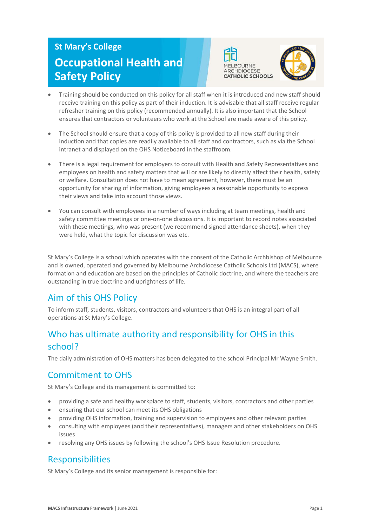# **St Mary's College Occupational Health and Safety Policy**





- Training should be conducted on this policy for all staff when it is introduced and new staff should receive training on this policy as part of their induction. It is advisable that all staff receive regular refresher training on this policy (recommended annually). It is also important that the School ensures that contractors or volunteers who work at the School are made aware of this policy.
- The School should ensure that a copy of this policy is provided to all new staff during their induction and that copies are readily available to all staff and contractors, such as via the School intranet and displayed on the OHS Noticeboard in the staffroom.
- There is a legal requirement for employers to consult with Health and Safety Representatives and employees on health and safety matters that will or are likely to directly affect their health, safety or welfare. Consultation does not have to mean agreement, however, there must be an opportunity for sharing of information, giving employees a reasonable opportunity to express their views and take into account those views.
- You can consult with employees in a number of ways including at team meetings, health and safety committee meetings or one-on-one discussions. It is important to record notes associated with these meetings, who was present (we recommend signed attendance sheets), when they were held, what the topic for discussion was etc.

St Mary's College is a school which operates with the consent of the Catholic Archbishop of Melbourne and is owned, operated and governed by Melbourne Archdiocese Catholic Schools Ltd (MACS), where formation and education are based on the principles of Catholic doctrine, and where the teachers are outstanding in true doctrine and uprightness of life.

## Aim of this OHS Policy

To inform staff, students, visitors, contractors and volunteers that OHS is an integral part of all operations at St Mary's College.

## Who has ultimate authority and responsibility for OHS in this school?

The daily administration of OHS matters has been delegated to the school Principal Mr Wayne Smith.

## Commitment to OHS

St Mary's College and its management is committed to:

- providing a safe and healthy workplace to staff, students, visitors, contractors and other parties
- ensuring that our school can meet its OHS obligations
- providing OHS information, training and supervision to employees and other relevant parties
- consulting with employees (and their representatives), managers and other stakeholders on OHS issues
- resolving any OHS issues by following the school's OHS Issue Resolution procedure.

## **Responsibilities**

St Mary's College and its senior management is responsible for: